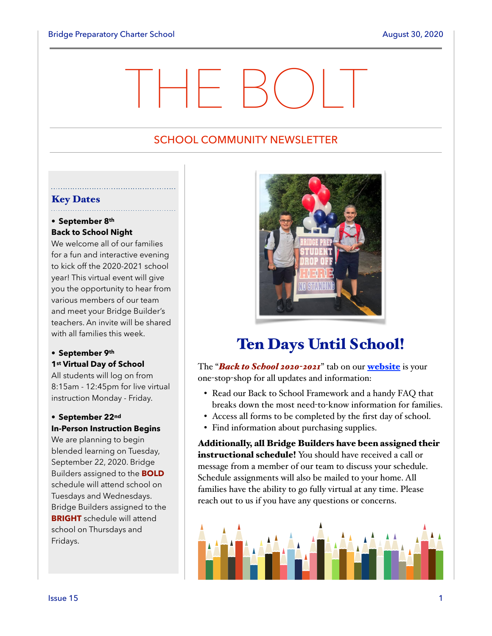# THE BOLT

# SCHOOL COMMUNITY NEWSLETTER

# Key Dates

# • **September 8th Back to School Night**

We welcome all of our families for a fun and interactive evening to kick off the 2020-2021 school year! This virtual event will give you the opportunity to hear from various members of our team and meet your Bridge Builder's teachers. An invite will be shared with all families this week.

# **• September 9th 1st Virtual Day of School**

All students will log on from 8:15am - 12:45pm for live virtual instruction Monday - Friday.

# **• September 22nd In-Person Instruction Begins**

We are planning to begin blended learning on Tuesday, September 22, 2020. Bridge Builders assigned to the **BOLD** schedule will attend school on Tuesdays and Wednesdays. Bridge Builders assigned to the **BRIGHT** schedule will attend school on Thursdays and Fridays.



# Ten Days Until School!

The "*Back to School 2020-2021*" tab on our [website](https://bridgeprepcharter.org/) is your one-stop-shop for all updates and information:

- Read our Back to School Framework and a handy FAQ that breaks down the most need-to-know information for families.
- Access all forms to be completed by the first day of school.
- Find information about purchasing supplies.

Additionally, all Bridge Builders have been assigned their instructional schedule! You should have received a call or message from a member of our team to discuss your schedule. Schedule assignments will also be mailed to your home. All families have the ability to go fully virtual at any time. Please reach out to us if you have any questions or concerns.